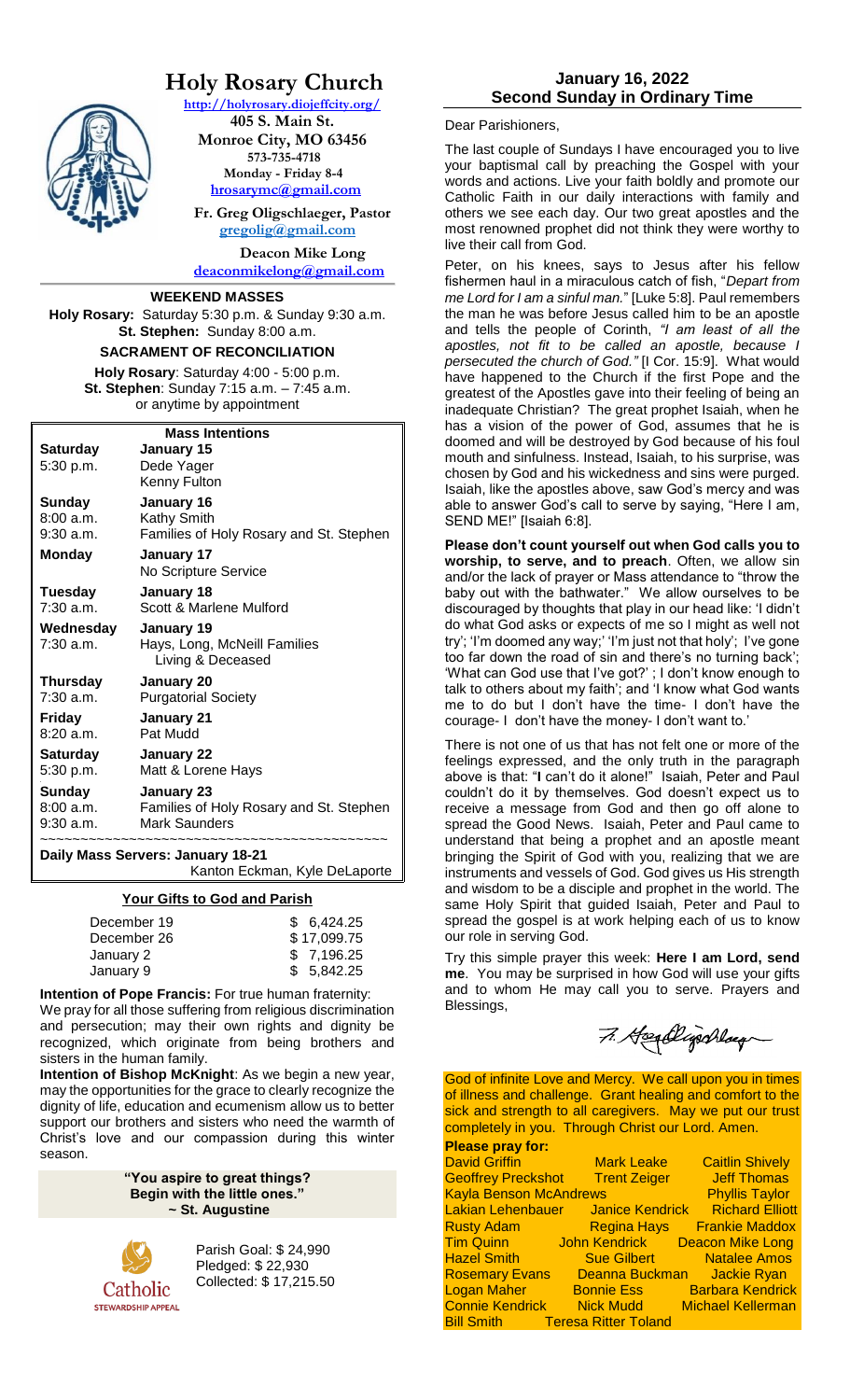

# **Holy Rosary Church**

**<http://holyrosary.diojeffcity.org/>**

**405 S. Main St. Monroe City, MO 63456 573-735-4718 Monday - Friday 8-4 [hrosarymc@gmail.com](mailto:hrosarymc@gmail.com)**

 **Fr. Greg Oligschlaeger, Pastor [gregolig@gmail.com](mailto:gregolig@gmail.com)**

**Deacon Mike Long [deaconmikelong@gmail.com](mailto:deaconmikelong@gmail.com)**

### **WEEKEND MASSES**

**Holy Rosary:** Saturday 5:30 p.m. & Sunday 9:30 a.m. **St. Stephen:** Sunday 8:00 a.m.

### **SACRAMENT OF RECONCILIATION**

**Holy Rosary**: Saturday 4:00 - 5:00 p.m. **St. Stephen**: Sunday 7:15 a.m. – 7:45 a.m. or anytime by appointment

| <b>Mass Intentions</b>            |                                                   |  |  |
|-----------------------------------|---------------------------------------------------|--|--|
| <b>Saturday</b>                   | January 15                                        |  |  |
| 5:30 p.m.                         | Dede Yager                                        |  |  |
|                                   | Kenny Fulton                                      |  |  |
| <b>Sunday</b>                     | January 16                                        |  |  |
| 8:00a.m.                          | Kathy Smith                                       |  |  |
| $9:30$ a.m.                       | Families of Holy Rosary and St. Stephen           |  |  |
| <b>Monday</b>                     | January 17                                        |  |  |
|                                   | No Scripture Service                              |  |  |
| <b>Tuesday</b>                    | January 18                                        |  |  |
| $7:30$ a.m.                       | Scott & Marlene Mulford                           |  |  |
| Wednesday                         | January 19                                        |  |  |
| $7:30$ a.m.                       | Hays, Long, McNeill Families<br>Living & Deceased |  |  |
| Thursday                          | January 20                                        |  |  |
| $7:30$ a.m.                       | <b>Purgatorial Society</b>                        |  |  |
| <b>Friday</b>                     | January 21                                        |  |  |
| 8:20a.m.                          | Pat Mudd                                          |  |  |
| Saturday                          | January 22                                        |  |  |
| 5:30 p.m.                         | Matt & Lorene Hays                                |  |  |
| Sunday                            | January 23                                        |  |  |
| 8:00 a.m.                         | Families of Holy Rosary and St. Stephen           |  |  |
| $9:30$ a.m.                       | <b>Mark Saunders</b>                              |  |  |
| Daily Mass Servers: January 18-21 |                                                   |  |  |

Kanton Eckman, Kyle DeLaporte

# **Your Gifts to God and Parish**

| December 19 | \$6,424.25  |
|-------------|-------------|
| December 26 | \$17,099.75 |
| January 2   | \$7,196.25  |
| January 9   | \$5.842.25  |

**Intention of Pope Francis:** For true human fraternity: We pray for all those suffering from religious discrimination and persecution; may their own rights and dignity be recognized, which originate from being brothers and sisters in the human family.

**Intention of Bishop McKnight**: As we begin a new year, may the opportunities for the grace to clearly recognize the dignity of life, education and ecumenism allow us to better support our brothers and sisters who need the warmth of Christ's love and our compassion during this winter season.

> **"You aspire to great things? Begin with the little ones." ~ St. Augustine**



Parish Goal: \$ 24,990 Pledged: \$ 22,930 Collected: \$ 17,215.50

### Dear Parishioners,

The last couple of Sundays I have encouraged you to live your baptismal call by preaching the Gospel with your words and actions. Live your faith boldly and promote our Catholic Faith in our daily interactions with family and others we see each day. Our two great apostles and the most renowned prophet did not think they were worthy to live their call from God.

Peter, on his knees, says to Jesus after his fellow fishermen haul in a miraculous catch of fish, "*Depart from me Lord for I am a sinful man.*" [Luke 5:8]. Paul remembers the man he was before Jesus called him to be an apostle and tells the people of Corinth, *"I am least of all the apostles, not fit to be called an apostle, because I persecuted the church of God."* [I Cor. 15:9]. What would have happened to the Church if the first Pope and the greatest of the Apostles gave into their feeling of being an inadequate Christian? The great prophet Isaiah, when he has a vision of the power of God, assumes that he is doomed and will be destroyed by God because of his foul mouth and sinfulness. Instead, Isaiah, to his surprise, was chosen by God and his wickedness and sins were purged. Isaiah, like the apostles above, saw God's mercy and was able to answer God's call to serve by saying, "Here I am, SEND ME!" [Isaiah 6:8].

**Please don't count yourself out when God calls you to worship, to serve, and to preach**. Often, we allow sin and/or the lack of prayer or Mass attendance to "throw the baby out with the bathwater." We allow ourselves to be discouraged by thoughts that play in our head like: 'I didn't do what God asks or expects of me so I might as well not try'; 'I'm doomed any way;' 'I'm just not that holy'; I've gone too far down the road of sin and there's no turning back'; 'What can God use that I've got?' ; I don't know enough to talk to others about my faith'; and 'I know what God wants me to do but I don't have the time- I don't have the courage- I don't have the money- I don't want to.'

There is not one of us that has not felt one or more of the feelings expressed, and the only truth in the paragraph above is that: "**I** can't do it alone!" Isaiah, Peter and Paul couldn't do it by themselves. God doesn't expect us to receive a message from God and then go off alone to spread the Good News. Isaiah, Peter and Paul came to understand that being a prophet and an apostle meant bringing the Spirit of God with you, realizing that we are instruments and vessels of God. God gives us His strength and wisdom to be a disciple and prophet in the world. The same Holy Spirit that guided Isaiah, Peter and Paul to spread the gospel is at work helping each of us to know our role in serving God.

Try this simple prayer this week: **Here I am Lord, send me**. You may be surprised in how God will use your gifts and to whom He may call you to serve. Prayers and Blessings,

7. Heallyschlag

God of infinite Love and Mercy. We call upon you in times of illness and challenge. Grant healing and comfort to the sick and strength to all caregivers. May we put our trust completely in you. Through Christ our Lord. Amen.

| <b>Please pray for:</b>       |                                        |                                        |
|-------------------------------|----------------------------------------|----------------------------------------|
| <b>David Griffin</b>          | <b>Mark Leake</b>                      | <b>Caitlin Shively</b>                 |
| <b>Geoffrey Preckshot</b>     | <b>Trent Zeiger</b>                    | <b>Jeff Thomas</b>                     |
| <b>Kayla Benson McAndrews</b> |                                        | <b>Phyllis Taylor</b>                  |
| Lakian Lehenbauer             |                                        | <b>Janice Kendrick Richard Elliott</b> |
| <b>Rusty Adam</b>             | Regina Hays                            | <b>Frankie Maddox</b>                  |
| <b>Tim Quinn</b>              | John Kendrick Deacon Mike Long         |                                        |
| <b>Hazel Smith</b>            | <b>Sue Gilbert</b>                     | <b>Natalee Amos</b>                    |
| <b>Rosemary Evans</b>         |                                        | Deanna Buckman Jackie Ryan             |
| <b>Logan Maher</b>            | <b>Bonnie Ess</b>                      | <b>Barbara Kendrick</b>                |
| <b>Connie Kendrick</b>        | <b>Nick Mudd</b>                       | <b>Michael Kellerman</b>               |
|                               | <b>Bill Smith Teresa Ritter Toland</b> |                                        |